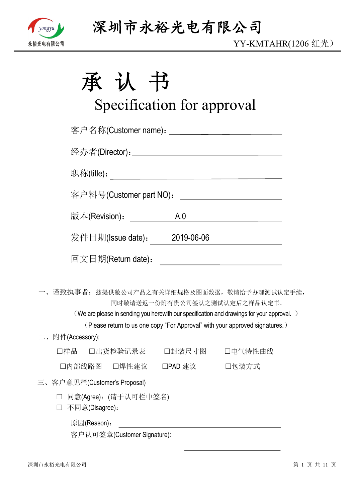

| 承 | 认 | $\pm$<br>ヿ゙゙゙ヷ |
|---|---|----------------|
|   |   |                |

# Specification for approval

|                  |                              |                              | 客户名称(Customer name): _____________________________                                                                                                                        |  |
|------------------|------------------------------|------------------------------|---------------------------------------------------------------------------------------------------------------------------------------------------------------------------|--|
|                  |                              |                              |                                                                                                                                                                           |  |
|                  |                              |                              |                                                                                                                                                                           |  |
|                  | 客户料号(Customer part NO):      |                              | <u> 1989 - Andrea Station, amerikansk politik (</u>                                                                                                                       |  |
|                  | 版本(Revision): __________     | A.0                          |                                                                                                                                                                           |  |
|                  |                              | 发件日期(Issue date): 2019-06-06 |                                                                                                                                                                           |  |
|                  | 回文日期(Return date):           |                              |                                                                                                                                                                           |  |
|                  |                              |                              | 一、谨致执事者: 兹提供敝公司产品之有关详细规格及图面数据, 敬请给予办理测试认定手续,<br>同时敬请送返一份附有贵公司签认之测试认定后之样品认定书。<br>(We are please in sending you herewith our specification and drawings for your approval.) |  |
|                  |                              |                              | (Please return to us one copy "For Approval" with your approved signatures.)                                                                                              |  |
| 二、附件(Accessory): |                              |                              |                                                                                                                                                                           |  |
|                  |                              |                              | □样品  □出货检验记录表   □封装尺寸图   □电气特性曲线                                                                                                                                          |  |
|                  |                              | □内部线路图 □焊性建议 □PAD 建议 □包装方式   |                                                                                                                                                                           |  |
|                  | 三、客户意见栏(Customer's Proposal) |                              |                                                                                                                                                                           |  |
|                  | □ 同音(Aaroo). 信手计可拦由欠夕)       |                              |                                                                                                                                                                           |  |

- 三、客户
	- □ 同意(Agree): (请于认可栏中签名)
	- 不同意(Disagree):
		- 原因(Reason):

客户认可签章(Customer Signature):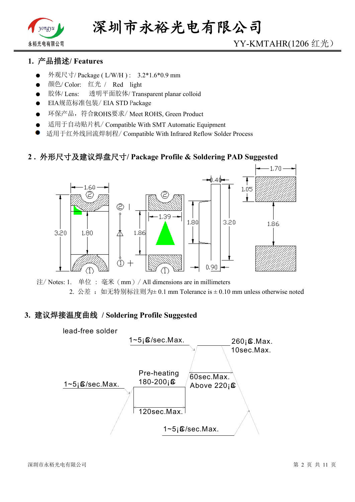

# YY-KMTAHR(1206 红光)

## **1. 产品描述/ Features**

- 外观尺寸/ Package ( L/W/H ) : 3.2\*1.6\*0.9 mm
- 颜色/ Color: 红光 / Red light
- 胶体/ Lens: 透明平面胶体/ Transparent planar colloid
- EIA规范标准包装/ EIA STD Package
- 环保产品,符合ROHS要求/ Meet ROHS, Green Product
- 适用于自动贴片机/ Compatible With SMT Automatic Equipment
- 适用于红外线回流焊制程/ Compatible With Infrared Reflow Solder Process

#### **2 . 外形尺寸及建议焊盘尺寸/ Package Profile & Soldering PAD Suggested**



注/ Notes: 1. 单位 : 毫米(mm)/ All dimensions are in millimeters 2. 公差: 如无特别标注则为 $\pm$  0.1 mm Tolerance is  $\pm$  0.10 mm unless otherwise noted

#### **3. 建议焊接温度曲线 / Soldering Profile Suggested**

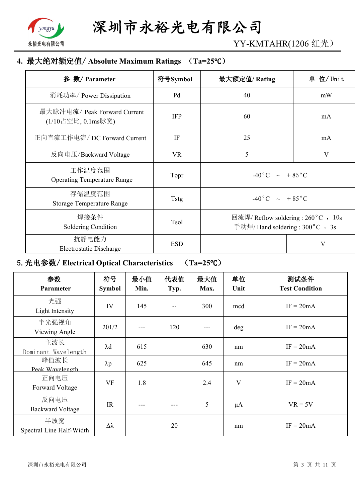

YY-KMTAHR(1206 红光)

# **4. 最大绝对额定值/ Absolute Maximum Ratings (Ta=25℃)**

| 参 数/ Parameter                                     | 符号Symbol    | 最大额定值/Rating                                                             | 单 位/ Unit      |
|----------------------------------------------------|-------------|--------------------------------------------------------------------------|----------------|
| 消耗功率/ Power Dissipation                            | Pd          | 40                                                                       | mW             |
| 最大脉冲电流/ Peak Forward Current<br>(1/10占空比, 0.1ms脉宽) | <b>IFP</b>  | 60                                                                       | mA             |
| 正向直流工作电流/DC Forward Current                        | IF          | 25                                                                       | mA             |
| 反向电压/Backward Voltage                              | <b>VR</b>   | 5                                                                        | $\overline{V}$ |
| 工作温度范围<br><b>Operating Temperature Range</b>       | Topr        | $-40\degree C$ $\sim$ $+85\degree C$                                     |                |
| 存储温度范围<br><b>Storage Temperature Range</b>         | <b>Tstg</b> | $-40\degree C$ ~ +85 $\degree C$                                         |                |
| 焊接条件<br>Soldering Condition                        | Tsol        | 回流焊/ Reflow soldering : 260 °C , 10s<br>手动焊/ Hand soldering : 300 °C, 3s |                |
| 抗静电能力<br>Electrostatic Discharge                   | <b>ESD</b>  |                                                                          | V              |

# **5.光电参数/ Electrical Optical Characteristics (Ta=25℃)**

| 参数<br>Parameter                 | 符号<br><b>Symbol</b> | 最小值<br>Min. | 代表值<br>Typ. | 最大值<br>Max. | 单位<br>Unit | 测试条件<br><b>Test Condition</b> |
|---------------------------------|---------------------|-------------|-------------|-------------|------------|-------------------------------|
| 光强<br>Light Intensity           | IV                  | 145         |             | 300         | mcd        | $IF = 20mA$                   |
| 半光强视角<br>Viewing Angle          | $2\theta$ 1/2       |             | 120         |             | deg        | $IF = 20mA$                   |
| 主波长<br>Dominant Wavelength      | $\lambda$ d         | 615         |             | 630         | nm         | $IF = 20mA$                   |
| 峰值波长<br>Peak Wavelength         | $\lambda p$         | 625         |             | 645         | nm         | $IF = 20mA$                   |
| 正向电压<br>Forward Voltage         | VF                  | 1.8         |             | 2.4         | V          | $IF = 20mA$                   |
| 反向电压<br><b>Backward Voltage</b> | IR                  |             |             | 5           | $\mu A$    | $VR = 5V$                     |
| 半波宽<br>Spectral Line Half-Width | Δλ                  |             | 20          |             | nm         | $IF = 20mA$                   |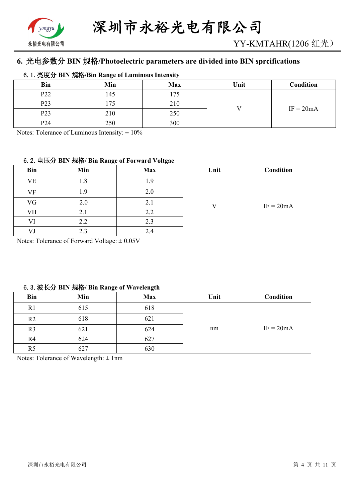

# **6. 光电参数分 BIN 规格/Photoelectric parameters are divided into BIN sprcifications**

#### **6.1.亮度分 BIN 规格/Bin Range of Luminous Intensity**

| <b>Bin</b>       | Min | <b>Max</b> | Unit | Condition   |
|------------------|-----|------------|------|-------------|
| P <sub>22</sub>  | 145 | 75         |      | $IF = 20mA$ |
| P <sub>2</sub> 3 | 75  | 210        |      |             |
| P <sub>2</sub> 3 | 210 | 250        |      |             |
| P <sub>24</sub>  | 250 | 300        |      |             |

Notes: Tolerance of Luminous Intensity:  $\pm 10\%$ 

#### **6.2.电压分 BIN 规格/ Bin Range of Forward Voltgae**

| <b>Bin</b> | Min | <b>Max</b> | Unit     | Condition   |
|------------|-----|------------|----------|-------------|
| VE         | 1.8 | l.9        |          | $IF = 20mA$ |
| VF         | 1.9 | 2.0        | $\bf{V}$ |             |
| VG         | 2.0 | 2.1        |          |             |
| VH         | 2.1 | 2.2        |          |             |
| VI         | 2.2 | 2.3        |          |             |
| VJ         | 2.3 | 2.4        |          |             |

Notes: Tolerance of Forward Voltage:  $\pm 0.05V$ 

#### **6.3.波长分 BIN 规格/ Bin Range of Wavelength**

|                | $\bullet$ | $\circ$    |      |             |
|----------------|-----------|------------|------|-------------|
| Bin            | Min       | <b>Max</b> | Unit | Condition   |
| R <sub>1</sub> | 615       | 618        |      |             |
| R <sub>2</sub> | 618       | 621        |      |             |
| R <sub>3</sub> | 621       | 624        | nm   | $IF = 20mA$ |
| R4             | 624       | 627        |      |             |
| R <sub>5</sub> | 627       | 630        |      |             |

Notes: Tolerance of Wavelength: ± 1nm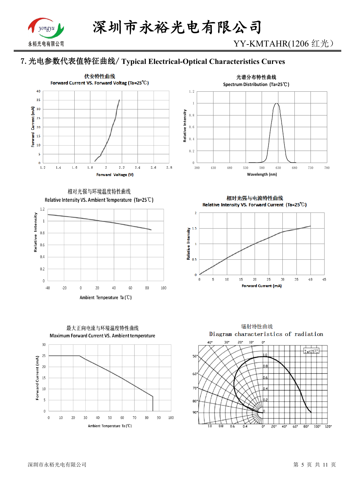

YY-KMTAHR(1206 红光)

# **7.光电参数代表值特征曲线/ Typical Electrical-Optical Characteristics Curves**



相对光强与环境温度特性曲线







相对光强与电流特性曲线 Relative Intensity VS. Forward Current (Ta=25°C)



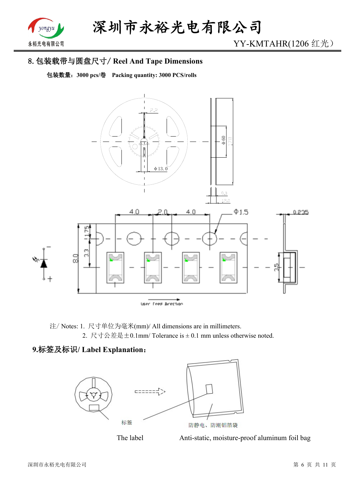

# **8.包装载带与圆盘尺寸/ Reel And Tape Dimensions**

**包装数量:3000 pcs/卷 Packing quantity: 3000 PCS/rolls**



注/ Notes: 1. 尺寸单位为毫米(mm)/ All dimensions are in millimeters. 2. 尺寸公差是±0.1mm/ Tolerance is ± 0.1 mm unless otherwise noted.

## **9.标签及标识/ Label Explanation:**



The label Anti-static, moisture-proof aluminum foil bag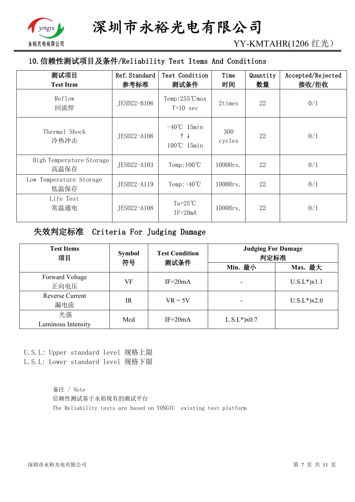

YY-KMTAHR(1206 红光)

# **10.信赖性测试项目及条件/Reliability Test Items And Conditions**

| 测试项目<br><b>Test Item</b>         | Ref. Standard<br>参考标准 | Test Condition<br>测试条件                                       | Time<br>时间    | Quantity<br>数量 | Accepted/Rejected<br>接收/拒收 |
|----------------------------------|-----------------------|--------------------------------------------------------------|---------------|----------------|----------------------------|
| Reflow<br>回流焊                    | JESD22-B106           | $Temp:255^{\circ}C$ max<br>$T=10$ sec                        | 2times        | 22             | 0/1                        |
| Thermal Shock<br>冷热冲击            | JESD22-A106           | $-40^{\circ}$ C 15min<br>$\uparrow \downarrow$<br>100℃ 15min | 300<br>cycles | 22             | 0/1                        |
| High Temperature Storage<br>高温保存 | JESD22-A103           | Temp: $100^{\circ}$ C                                        | 1000Hrs.      | 22             | 0/1                        |
| Low Temperature Storage<br>低温保存  | JESD22-A119           | Temp: $-40^{\circ}$ C                                        | $1000$ Hrs.   | 22             | 0/1                        |
| Life Test<br>常温通电                | JESD22-A108           | Ta= $25^{\circ}$ C<br>$IF = 20mA$                            | $1000$ Hrs.   | 22             | 0/1                        |

## **失效判定标准 Criteria For Judging Damage**

| <b>Test Items</b><br>项目       | <b>Symbol</b><br>符号 | <b>Test Condition</b><br>测试条件 | <b>Judging For Damage</b><br>判定标准 |                    |  |
|-------------------------------|---------------------|-------------------------------|-----------------------------------|--------------------|--|
|                               |                     |                               | Min. 最小                           | Max. 最大            |  |
| Forward Voltage<br>正向电压       | VF                  | $IF = 20mA$                   |                                   | $U.S.L^*$ ) $x1.1$ |  |
| <b>Reverse Current</b><br>漏电流 | $_{\rm IR}$         | $VR = 5V$                     |                                   | $U.S.L*$ )x2.0     |  |
| 光强<br>Luminous Intensity      | Mcd                 | $IF = 20mA$                   | $L.S.L*$ ) $x0.7$                 |                    |  |

U.S.L: Upper standard level 规格上限

L.S.L: Lower standard level 规格下限

备注 / Note 信赖性测试基于永裕现有的测试平台 The Reliability tests are based on YONGYU existing test platform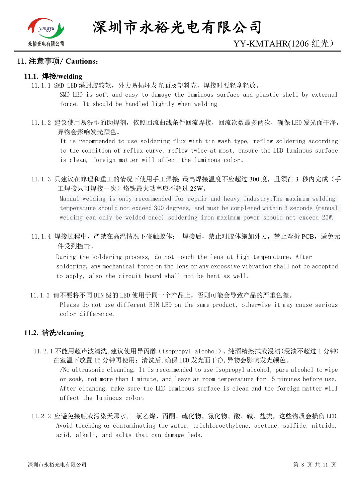

#### **11.注意事项/ Cautions:**

#### **11.1. 焊接/welding**

11.1.1 SMD LED 灌封胶较软,外力易损坏发光面及塑料壳,焊接时要轻拿轻放。

SMD LED is soft and easy to damage the luminous surface and plastic shell by external force. It should be handled lightly when welding

11.1.2 建议使用易洗型的助焊剂,依照回流曲线条件回流焊接,回流次数最多两次,确保 LED 发光面干净, 异物会影响发光颜色。

It is recommended to use soldering flux with tin wash type, reflow soldering according to the condition of reflux curve, reflow twice at most, ensure the LED luminous surface is clean, foreign matter will affect the luminous color。

11.1.3 只建议在修理和重工的情况下使用手工焊接; 最高焊接温度不应超过 300 度, 且须在 3 秒内完成(手 工焊接只可焊接一次)烙铁最大功率应不超过 25W。

Manual welding is only recommended for repair and heavy industry;The maximum welding temperature should not exceed 300 degrees, and must be completed within 3 seconds (manual welding can only be welded once) soldering iron maximum power should not exceed 25W.

11.1.4 焊接过程中,严禁在高温情况下碰触胶体; 焊接后,禁止对胶体施加外力,禁止弯折 PCB,避免元 件受到撞击。

During the soldering process, do not touch the lens at high temperature, After soldering, any mechanical force on the lens or any excessive vibration shall not be accepted to apply, also the circuit board shall not be bent as well.

11.1.5 请不要将不同 BIN 级的 LED 使用于同一个产品上,否则可能会导致产品的严重色差。

Please do not use different BIN LED on the same product, otherwise it may cause serious color difference.

#### **11.2. 清洗/cleaning**

11.2.1 不能用超声波清洗,建议使用异丙醇(isopropyl alcohol)、纯酒精擦拭或浸渍(浸渍不超过 1 分钟) 在室温下放置 15 分钟再使用;清洗后,确保 LED 发光面干净,异物会影响发光颜色。

/No ultrasonic cleaning. It is recommended to use isopropyl alcohol, pure alcohol to wipe or soak, not more than 1 minute, and leave at room temperature for 15 minutes before use. After cleaning, make sure the LED luminous surface is clean and the foreign matter will affect the luminous color。

11.2.2 应避免接触或污染天那水,三氯乙烯、丙酮、硫化物、氮化物、酸、碱、盐类,这些物质会损伤 LED. Avoid touching or contaminating the water, trichloroethylene, acetone, sulfide, nitride, acid, alkali, and salts that can damage leds.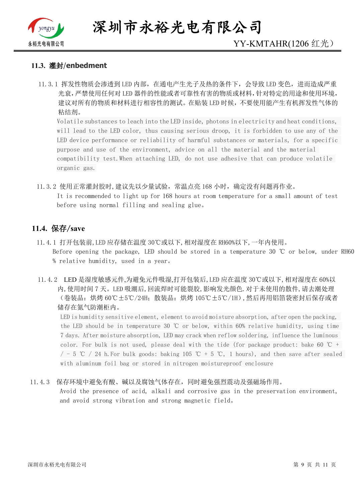

**深圳市永裕光电有限公司**

#### **11.3. 灌封**/**enbedment**

11.3.1 挥发性物质会渗透到 LED 内部, 在通电产生光子及热的条件下, 会导致 LED 变色, 进而造成严重 光衰,严禁使用任何对 LED 器件的性能或者可靠性有害的物质或材料,针对特定的用途和使用环境, 建议对所有的物质和材料进行相容性的测试。在贴装 LED 时候,不要使用能产生有机挥发性气体的 粘结剂。

Volatile substances to leach into the LED inside, photons in electricity and heat conditions, will lead to the LED color, thus causing serious droop, it is forbidden to use any of the LED device performance or reliability of harmful substances or materials, for a specific purpose and use of the environment, advice on all the material and the material compatibility test.When attaching LED, do not use adhesive that can produce volatile organic gas.

11.3.2 使用正常灌封胶时,建议先以少量试验,常温点亮 168 小时,确定没有问题再作业。 It is recommended to light up for 168 hours at room temperature for a small amount of test before using normal filling and sealing glue。

## **11.4. 保存/save**

- 11.4.1 打开包装前,LED 应存储在温度 30℃或以下,相对湿度在 RH60%以下,一年内使用。 Before opening the package, LED should be stored in a temperature 30 ℃ or below, under RH60 % relative humidity, used in a year。
- 11.4.2 LED 是湿度敏感元件,为避免元件吸湿,打开包装后,LED 应在温度 30℃或以下,相对湿度在 60%以 内,使用时间 7 天。LED 吸潮后,回流焊时可能裂胶,影响发光颜色.对于未使用的散件,请去潮处理 (卷装品:烘烤 60℃±5℃/24H;散装品:烘烤 105℃±5℃/1H),然后再用铝箔袋密封后保存或者 储存在氮气防潮柜内。

LED is humidity sensitive element, element to avoid moisture absorption, after open the packing, the LED should be in temperature 30 ℃ or below, within 60% relative humidity, using time 7 days. After moisture absorption, LED may crack when reflow soldering, influence the luminous color. For bulk is not used, please deal with the tide (for package product: bake 60 °C +  $/$  - 5 ℃ / 24 h. For bulk goods: baking 105 ℃ + 5 ℃, 1 hours), and then save after sealed with aluminum foil bag or stored in nitrogen moistureproof enclosure

#### 11.4.3 保存环境中避免有酸、碱以及腐蚀气体存在,同时避免强烈震动及强磁场作用。

Avoid the presence of acid, alkali and corrosive gas in the preservation environment, and avoid strong vibration and strong magnetic field。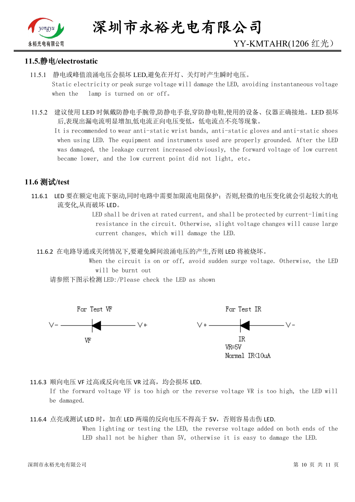

## **11.5.静电/electrostatic**

- 11.5.1 静电或峰值浪涌电压会损坏 LED,避免在开灯、关灯时产生瞬时电压。 Static electricity or peak surge voltage will damage the LED, avoiding instantaneous voltage when the lamp is turned on or off。
- 11.5.2 建议使用 LED 时佩戴防静电手腕带,防静电手套,穿防静电鞋,使用的设备、仪器正确接地。LED 损坏 后,表现出漏电流明显增加,低电流正向电压变低,低电流点不亮等现象。

 It is recommended to wear anti-static wrist bands, anti-static gloves and anti-static shoes when using LED. The equipment and instruments used are properly grounded. After the LED was damaged, the leakage current increased obviously, the forward voltage of low current became lower, and the low current point did not light, etc。

## **11.6 测试/test**

11.6.1 LED 要在额定电流下驱动,同时电路中需要加限流电阻保护;否则,轻微的电压变化就会引起较大的电 流变化,从而破坏 LED。

> LED shall be driven at rated current, and shall be protected by current-limiting resistance in the circuit. Otherwise, slight voltage changes will cause large current changes, which will damage the LED.

11.6.2 在电路导通或关闭情况下,要避免瞬间浪涌电压的产生,否则 LED 将被烧坏。

 When the circuit is on or off, avoid sudden surge voltage. Otherwise, the LED will be burnt out

请参照下图示检测 LED:/Please check the LED as shown



11.6.3 顺向电压 VF 过高或反向电压 VR 过高, 均会损坏 LED.

If the forward voltage VF is too high or the reverse voltage VR is too high, the LED will be damaged.

<sup>11.6.4</sup> 点亮或测试 LED 时, 加在 LED 两端的反向电压不得高于 5V, 否则容易击伤 LED. When lighting or testing the LED, the reverse voltage added on both ends of the LED shall not be higher than 5V, otherwise it is easy to damage the LED.